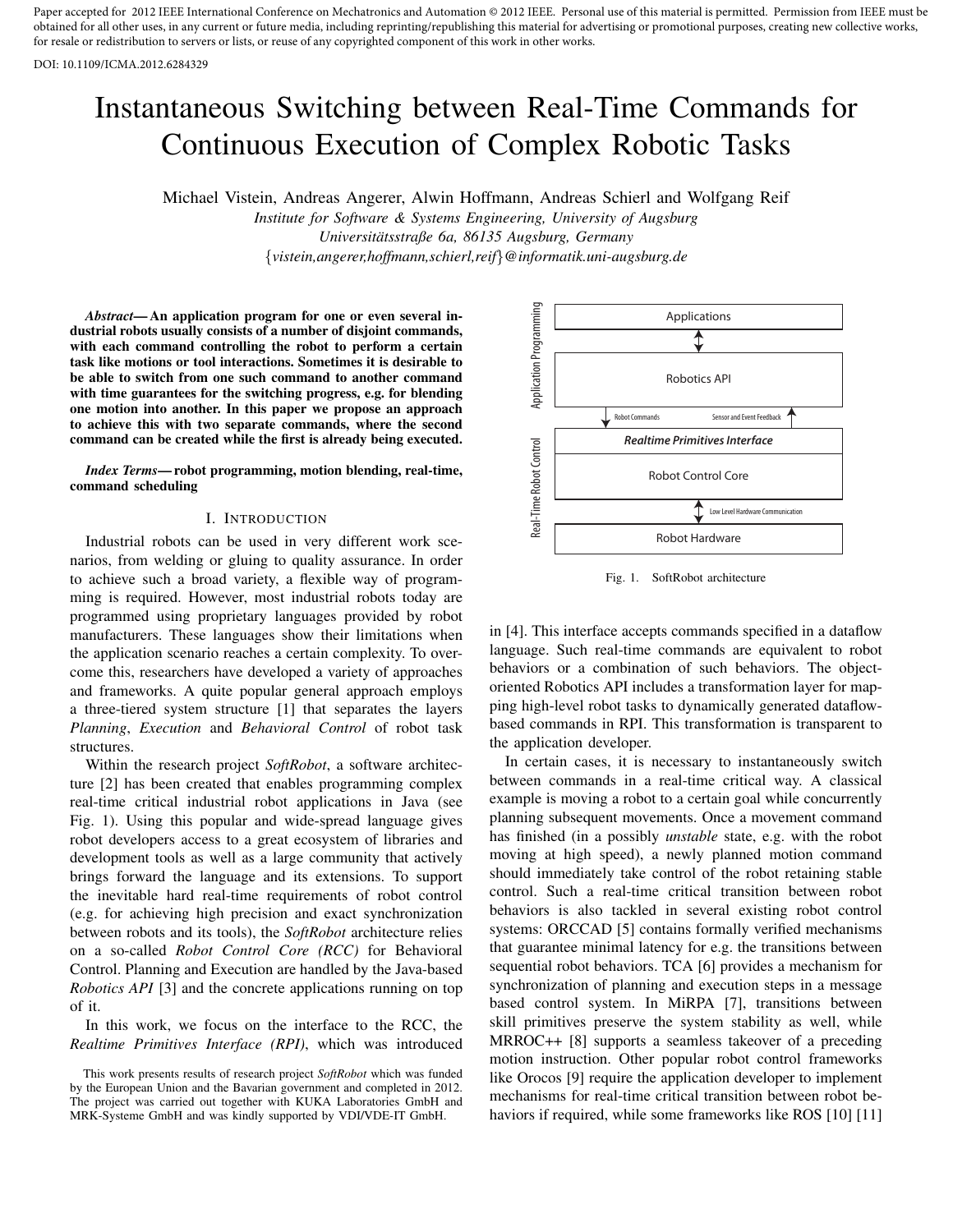Paper accepted for 2012 IEEE International Conference on Mechatronics and Automation © 2012 IEEE. Personal use of this material is permitted. Permission from IEEE must be obtained for all other uses, in any current or future media, including reprinting/republishing this material for advertising or promotional purposes, creating new collective works, for resale or redistribution to servers or lists, or reuse of any copyrighted component of this work in other works.

DOI: 10.1109/ICMA.2012.6284329

# Instantaneous Switching between Real-Time Commands for Continuous Execution of Complex Robotic Tasks

Michael Vistein, Andreas Angerer, Alwin Hoffmann, Andreas Schierl and Wolfgang Reif

*Institute for Software & Systems Engineering, University of Augsburg Universitatsstraße 6a, 86135 Augsburg, Germany ¨*

{*vistein,angerer,hoffmann,schierl,reif*}*@informatik.uni-augsburg.de*

*Abstract*— An application program for one or even several industrial robots usually consists of a number of disjoint commands, with each command controlling the robot to perform a certain task like motions or tool interactions. Sometimes it is desirable to be able to switch from one such command to another command with time guarantees for the switching progress, e.g. for blending one motion into another. In this paper we propose an approach to achieve this with two separate commands, where the second command can be created while the first is already being executed.

*Index Terms*— robot programming, motion blending, real-time, command scheduling

# I. INTRODUCTION

Industrial robots can be used in very different work scenarios, from welding or gluing to quality assurance. In order to achieve such a broad variety, a flexible way of programming is required. However, most industrial robots today are programmed using proprietary languages provided by robot manufacturers. These languages show their limitations when the application scenario reaches a certain complexity. To overcome this, researchers have developed a variety of approaches and frameworks. A quite popular general approach employs a three-tiered system structure [1] that separates the layers *Planning*, *Execution* and *Behavioral Control* of robot task structures.

Within the research project *SoftRobot*, a software architecture [2] has been created that enables programming complex real-time critical industrial robot applications in Java (see Fig. 1). Using this popular and wide-spread language gives robot developers access to a great ecosystem of libraries and development tools as well as a large community that actively brings forward the language and its extensions. To support the inevitable hard real-time requirements of robot control (e.g. for achieving high precision and exact synchronization between robots and its tools), the *SoftRobot* architecture relies on a so-called *Robot Control Core (RCC)* for Behavioral Control. Planning and Execution are handled by the Java-based *Robotics API* [3] and the concrete applications running on top of it.

In this work, we focus on the interface to the RCC, the *Realtime Primitives Interface (RPI)*, which was introduced



Fig. 1. SoftRobot architecture

in [4]. This interface accepts commands specified in a dataflow language. Such real-time commands are equivalent to robot behaviors or a combination of such behaviors. The objectoriented Robotics API includes a transformation layer for mapping high-level robot tasks to dynamically generated dataflowbased commands in RPI. This transformation is transparent to the application developer.

In certain cases, it is necessary to instantaneously switch between commands in a real-time critical way. A classical example is moving a robot to a certain goal while concurrently planning subsequent movements. Once a movement command has finished (in a possibly *unstable* state, e.g. with the robot moving at high speed), a newly planned motion command should immediately take control of the robot retaining stable control. Such a real-time critical transition between robot behaviors is also tackled in several existing robot control systems: ORCCAD [5] contains formally verified mechanisms that guarantee minimal latency for e.g. the transitions between sequential robot behaviors. TCA [6] provides a mechanism for synchronization of planning and execution steps in a message based control system. In MiRPA [7], transitions between skill primitives preserve the system stability as well, while MRROC++ [8] supports a seamless takeover of a preceding motion instruction. Other popular robot control frameworks like Orocos [9] require the application developer to implement mechanisms for real-time critical transition between robot behaviors if required, while some frameworks like ROS [10] [11]

This work presents results of research project *SoftRobot* which was funded by the European Union and the Bavarian government and completed in 2012. The project was carried out together with KUKA Laboratories GmbH and MRK-Systeme GmbH and was kindly supported by VDI/VDE-IT GmbH.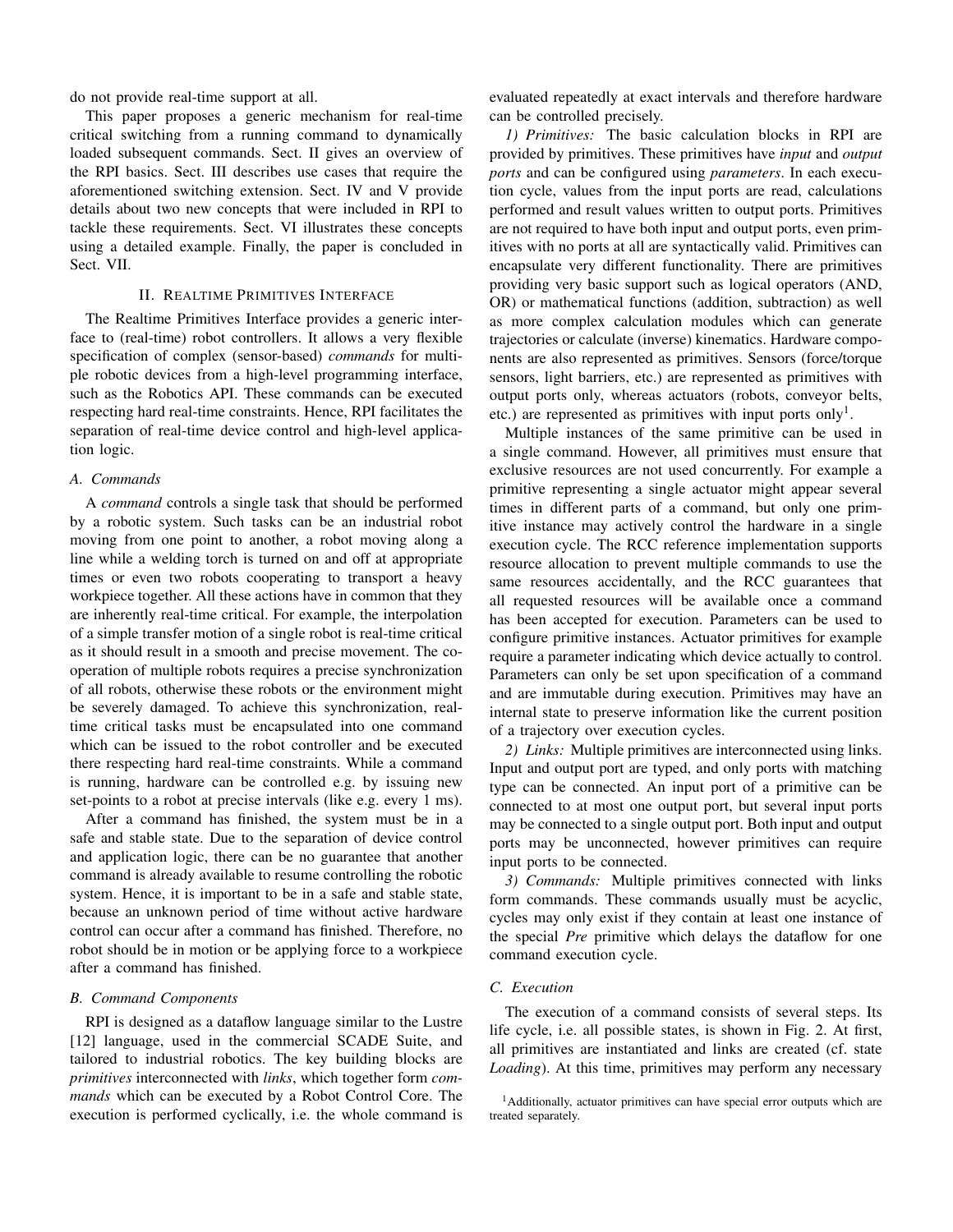do not provide real-time support at all.

This paper proposes a generic mechanism for real-time critical switching from a running command to dynamically loaded subsequent commands. Sect. II gives an overview of the RPI basics. Sect. III describes use cases that require the aforementioned switching extension. Sect. IV and V provide details about two new concepts that were included in RPI to tackle these requirements. Sect. VI illustrates these concepts using a detailed example. Finally, the paper is concluded in Sect. VII.

#### II. REALTIME PRIMITIVES INTERFACE

The Realtime Primitives Interface provides a generic interface to (real-time) robot controllers. It allows a very flexible specification of complex (sensor-based) *commands* for multiple robotic devices from a high-level programming interface, such as the Robotics API. These commands can be executed respecting hard real-time constraints. Hence, RPI facilitates the separation of real-time device control and high-level application logic.

## *A. Commands*

A *command* controls a single task that should be performed by a robotic system. Such tasks can be an industrial robot moving from one point to another, a robot moving along a line while a welding torch is turned on and off at appropriate times or even two robots cooperating to transport a heavy workpiece together. All these actions have in common that they are inherently real-time critical. For example, the interpolation of a simple transfer motion of a single robot is real-time critical as it should result in a smooth and precise movement. The cooperation of multiple robots requires a precise synchronization of all robots, otherwise these robots or the environment might be severely damaged. To achieve this synchronization, realtime critical tasks must be encapsulated into one command which can be issued to the robot controller and be executed there respecting hard real-time constraints. While a command is running, hardware can be controlled e.g. by issuing new set-points to a robot at precise intervals (like e.g. every 1 ms).

After a command has finished, the system must be in a safe and stable state. Due to the separation of device control and application logic, there can be no guarantee that another command is already available to resume controlling the robotic system. Hence, it is important to be in a safe and stable state, because an unknown period of time without active hardware control can occur after a command has finished. Therefore, no robot should be in motion or be applying force to a workpiece after a command has finished.

#### *B. Command Components*

RPI is designed as a dataflow language similar to the Lustre [12] language, used in the commercial SCADE Suite, and tailored to industrial robotics. The key building blocks are *primitives* interconnected with *links*, which together form *commands* which can be executed by a Robot Control Core. The execution is performed cyclically, i.e. the whole command is

evaluated repeatedly at exact intervals and therefore hardware can be controlled precisely.

*1) Primitives:* The basic calculation blocks in RPI are provided by primitives. These primitives have *input* and *output ports* and can be configured using *parameters*. In each execution cycle, values from the input ports are read, calculations performed and result values written to output ports. Primitives are not required to have both input and output ports, even primitives with no ports at all are syntactically valid. Primitives can encapsulate very different functionality. There are primitives providing very basic support such as logical operators (AND, OR) or mathematical functions (addition, subtraction) as well as more complex calculation modules which can generate trajectories or calculate (inverse) kinematics. Hardware components are also represented as primitives. Sensors (force/torque sensors, light barriers, etc.) are represented as primitives with output ports only, whereas actuators (robots, conveyor belts, etc.) are represented as primitives with input ports only<sup>1</sup>.

Multiple instances of the same primitive can be used in a single command. However, all primitives must ensure that exclusive resources are not used concurrently. For example a primitive representing a single actuator might appear several times in different parts of a command, but only one primitive instance may actively control the hardware in a single execution cycle. The RCC reference implementation supports resource allocation to prevent multiple commands to use the same resources accidentally, and the RCC guarantees that all requested resources will be available once a command has been accepted for execution. Parameters can be used to configure primitive instances. Actuator primitives for example require a parameter indicating which device actually to control. Parameters can only be set upon specification of a command and are immutable during execution. Primitives may have an internal state to preserve information like the current position of a trajectory over execution cycles.

*2) Links:* Multiple primitives are interconnected using links. Input and output port are typed, and only ports with matching type can be connected. An input port of a primitive can be connected to at most one output port, but several input ports may be connected to a single output port. Both input and output ports may be unconnected, however primitives can require input ports to be connected.

*3) Commands:* Multiple primitives connected with links form commands. These commands usually must be acyclic, cycles may only exist if they contain at least one instance of the special *Pre* primitive which delays the dataflow for one command execution cycle.

# *C. Execution*

The execution of a command consists of several steps. Its life cycle, i.e. all possible states, is shown in Fig. 2. At first, all primitives are instantiated and links are created (cf. state *Loading*). At this time, primitives may perform any necessary

<sup>&</sup>lt;sup>1</sup>Additionally, actuator primitives can have special error outputs which are treated separately.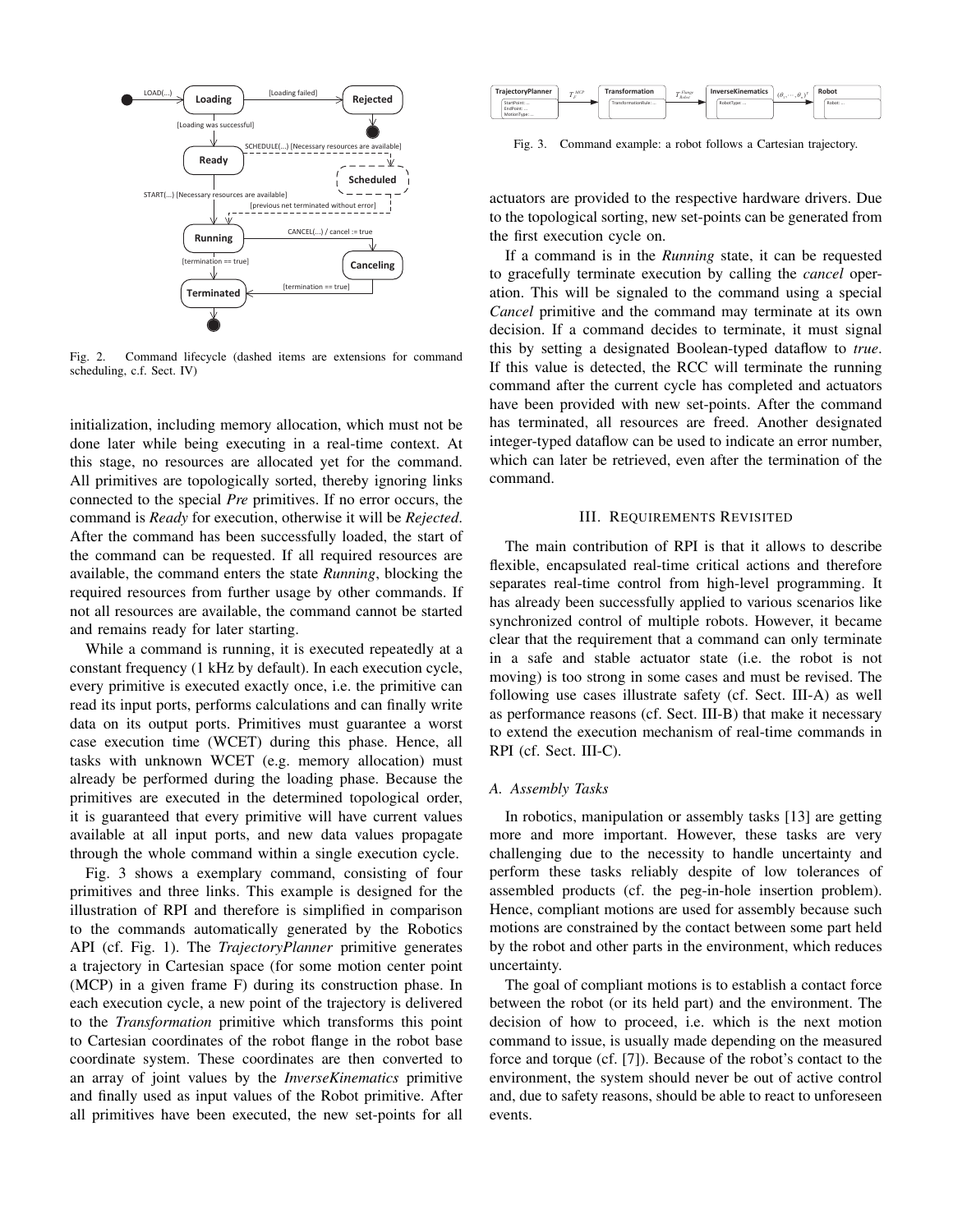

Fig. 2. Command lifecycle (dashed items are extensions for command scheduling, c.f. Sect. IV)

initialization, including memory allocation, which must not be done later while being executing in a real-time context. At this stage, no resources are allocated yet for the command. All primitives are topologically sorted, thereby ignoring links connected to the special *Pre* primitives. If no error occurs, the command is *Ready* for execution, otherwise it will be *Rejected*. After the command has been successfully loaded, the start of the command can be requested. If all required resources are available, the command enters the state *Running*, blocking the required resources from further usage by other commands. If not all resources are available, the command cannot be started and remains ready for later starting.

While a command is running, it is executed repeatedly at a constant frequency (1 kHz by default). In each execution cycle, every primitive is executed exactly once, i.e. the primitive can read its input ports, performs calculations and can finally write data on its output ports. Primitives must guarantee a worst case execution time (WCET) during this phase. Hence, all tasks with unknown WCET (e.g. memory allocation) must already be performed during the loading phase. Because the primitives are executed in the determined topological order, it is guaranteed that every primitive will have current values available at all input ports, and new data values propagate through the whole command within a single execution cycle.

Fig. 3 shows a exemplary command, consisting of four primitives and three links. This example is designed for the illustration of RPI and therefore is simplified in comparison to the commands automatically generated by the Robotics API (cf. Fig. 1). The *TrajectoryPlanner* primitive generates a trajectory in Cartesian space (for some motion center point (MCP) in a given frame F) during its construction phase. In each execution cycle, a new point of the trajectory is delivered to the *Transformation* primitive which transforms this point to Cartesian coordinates of the robot flange in the robot base coordinate system. These coordinates are then converted to an array of joint values by the *InverseKinematics* primitive and finally used as input values of the Robot primitive. After all primitives have been executed, the new set-points for all



Fig. 3. Command example: a robot follows a Cartesian trajectory.

actuators are provided to the respective hardware drivers. Due to the topological sorting, new set-points can be generated from the first execution cycle on.

If a command is in the *Running* state, it can be requested to gracefully terminate execution by calling the *cancel* operation. This will be signaled to the command using a special *Cancel* primitive and the command may terminate at its own decision. If a command decides to terminate, it must signal this by setting a designated Boolean-typed dataflow to *true*. If this value is detected, the RCC will terminate the running command after the current cycle has completed and actuators have been provided with new set-points. After the command has terminated, all resources are freed. Another designated integer-typed dataflow can be used to indicate an error number, which can later be retrieved, even after the termination of the command.

#### III. REQUIREMENTS REVISITED

The main contribution of RPI is that it allows to describe flexible, encapsulated real-time critical actions and therefore separates real-time control from high-level programming. It has already been successfully applied to various scenarios like synchronized control of multiple robots. However, it became clear that the requirement that a command can only terminate in a safe and stable actuator state (i.e. the robot is not moving) is too strong in some cases and must be revised. The following use cases illustrate safety (cf. Sect. III-A) as well as performance reasons (cf. Sect. III-B) that make it necessary to extend the execution mechanism of real-time commands in RPI (cf. Sect. III-C).

## *A. Assembly Tasks*

In robotics, manipulation or assembly tasks [13] are getting more and more important. However, these tasks are very challenging due to the necessity to handle uncertainty and perform these tasks reliably despite of low tolerances of assembled products (cf. the peg-in-hole insertion problem). Hence, compliant motions are used for assembly because such motions are constrained by the contact between some part held by the robot and other parts in the environment, which reduces uncertainty.

The goal of compliant motions is to establish a contact force between the robot (or its held part) and the environment. The decision of how to proceed, i.e. which is the next motion command to issue, is usually made depending on the measured force and torque (cf. [7]). Because of the robot's contact to the environment, the system should never be out of active control and, due to safety reasons, should be able to react to unforeseen events.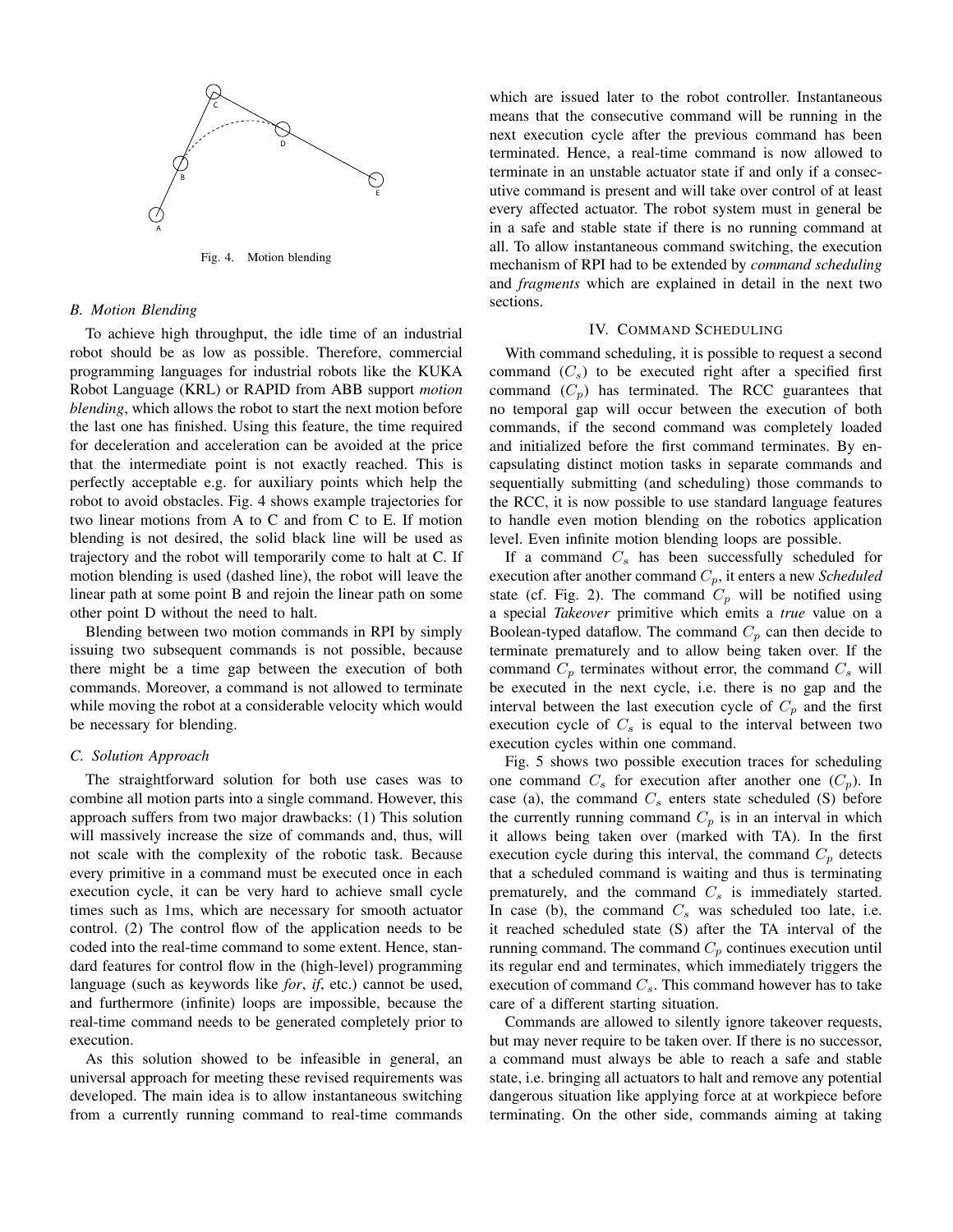

Fig. 4. Motion blending

## *B. Motion Blending*

To achieve high throughput, the idle time of an industrial robot should be as low as possible. Therefore, commercial programming languages for industrial robots like the KUKA Robot Language (KRL) or RAPID from ABB support *motion blending*, which allows the robot to start the next motion before the last one has finished. Using this feature, the time required for deceleration and acceleration can be avoided at the price that the intermediate point is not exactly reached. This is perfectly acceptable e.g. for auxiliary points which help the robot to avoid obstacles. Fig. 4 shows example trajectories for two linear motions from A to C and from C to E. If motion blending is not desired, the solid black line will be used as trajectory and the robot will temporarily come to halt at C. If motion blending is used (dashed line), the robot will leave the linear path at some point B and rejoin the linear path on some other point D without the need to halt.

Blending between two motion commands in RPI by simply issuing two subsequent commands is not possible, because there might be a time gap between the execution of both commands. Moreover, a command is not allowed to terminate while moving the robot at a considerable velocity which would be necessary for blending.

## *C. Solution Approach*

The straightforward solution for both use cases was to combine all motion parts into a single command. However, this approach suffers from two major drawbacks: (1) This solution will massively increase the size of commands and, thus, will not scale with the complexity of the robotic task. Because every primitive in a command must be executed once in each execution cycle, it can be very hard to achieve small cycle times such as 1ms, which are necessary for smooth actuator control. (2) The control flow of the application needs to be coded into the real-time command to some extent. Hence, standard features for control flow in the (high-level) programming language (such as keywords like *for*, *if*, etc.) cannot be used, and furthermore (infinite) loops are impossible, because the real-time command needs to be generated completely prior to execution.

As this solution showed to be infeasible in general, an universal approach for meeting these revised requirements was developed. The main idea is to allow instantaneous switching from a currently running command to real-time commands which are issued later to the robot controller. Instantaneous means that the consecutive command will be running in the next execution cycle after the previous command has been terminated. Hence, a real-time command is now allowed to terminate in an unstable actuator state if and only if a consecutive command is present and will take over control of at least every affected actuator. The robot system must in general be in a safe and stable state if there is no running command at all. To allow instantaneous command switching, the execution mechanism of RPI had to be extended by *command scheduling* and *fragments* which are explained in detail in the next two sections.

# IV. COMMAND SCHEDULING

With command scheduling, it is possible to request a second command  $(C_s)$  to be executed right after a specified first command  $(C_p)$  has terminated. The RCC guarantees that no temporal gap will occur between the execution of both commands, if the second command was completely loaded and initialized before the first command terminates. By encapsulating distinct motion tasks in separate commands and sequentially submitting (and scheduling) those commands to the RCC, it is now possible to use standard language features to handle even motion blending on the robotics application level. Even infinite motion blending loops are possible.

If a command  $C_s$  has been successfully scheduled for execution after another command  $C_p$ , it enters a new *Scheduled* state (cf. Fig. 2). The command  $C_p$  will be notified using a special *Takeover* primitive which emits a *true* value on a Boolean-typed dataflow. The command  $C_p$  can then decide to terminate prematurely and to allow being taken over. If the command  $C_p$  terminates without error, the command  $C_s$  will be executed in the next cycle, i.e. there is no gap and the interval between the last execution cycle of  $C_p$  and the first execution cycle of  $C_s$  is equal to the interval between two execution cycles within one command.

Fig. 5 shows two possible execution traces for scheduling one command  $C_s$  for execution after another one  $(C_p)$ . In case (a), the command  $C_s$  enters state scheduled (S) before the currently running command  $C_p$  is in an interval in which it allows being taken over (marked with TA). In the first execution cycle during this interval, the command  $C_p$  detects that a scheduled command is waiting and thus is terminating prematurely, and the command  $C_s$  is immediately started. In case (b), the command  $C_s$  was scheduled too late, i.e. it reached scheduled state (S) after the TA interval of the running command. The command  $C_p$  continues execution until its regular end and terminates, which immediately triggers the execution of command  $C_s$ . This command however has to take care of a different starting situation.

Commands are allowed to silently ignore takeover requests, but may never require to be taken over. If there is no successor, a command must always be able to reach a safe and stable state, i.e. bringing all actuators to halt and remove any potential dangerous situation like applying force at at workpiece before terminating. On the other side, commands aiming at taking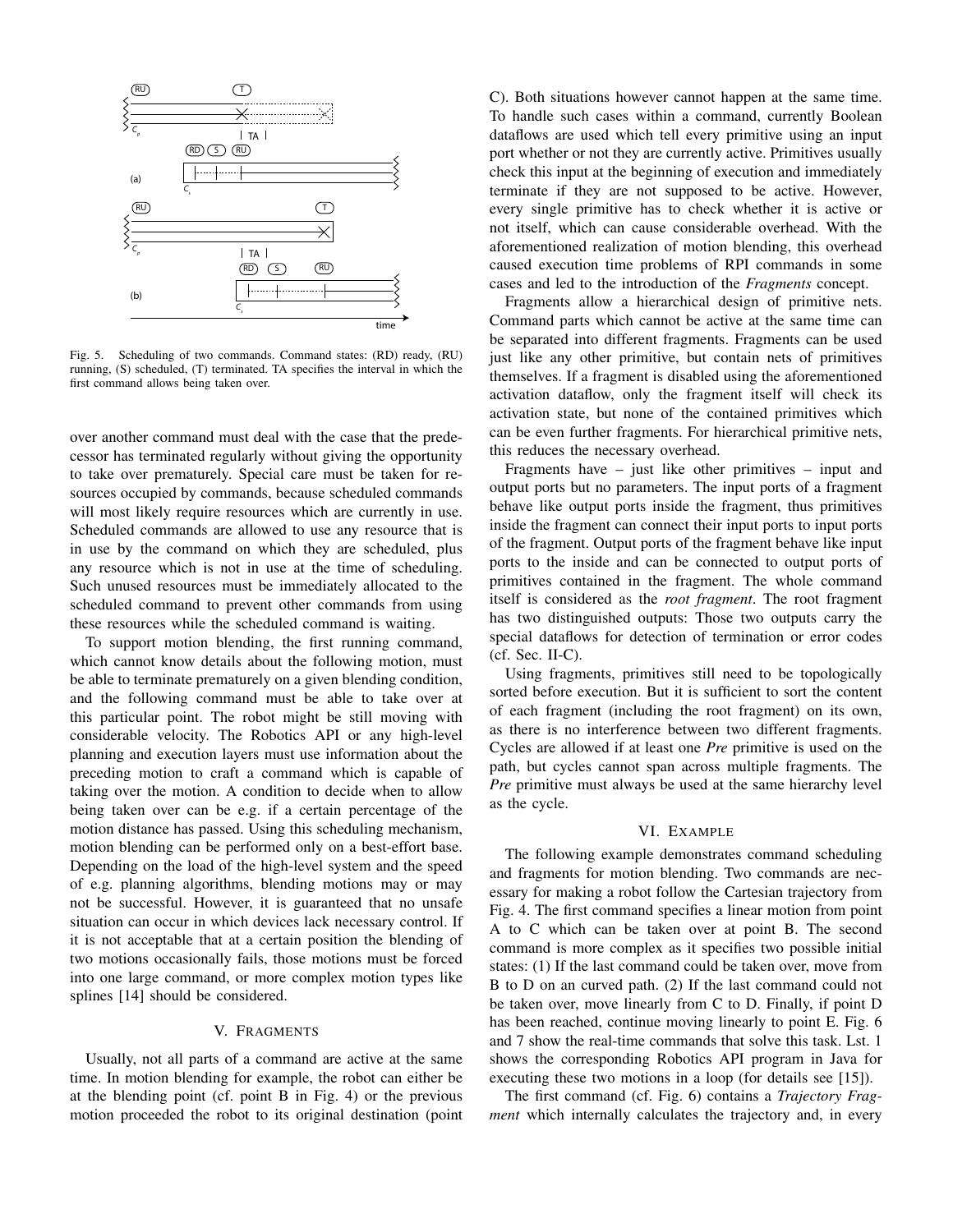

Fig. 5. Scheduling of two commands. Command states: (RD) ready, (RU) running, (S) scheduled, (T) terminated. TA specifies the interval in which the first command allows being taken over.

over another command must deal with the case that the predecessor has terminated regularly without giving the opportunity to take over prematurely. Special care must be taken for resources occupied by commands, because scheduled commands will most likely require resources which are currently in use. Scheduled commands are allowed to use any resource that is in use by the command on which they are scheduled, plus any resource which is not in use at the time of scheduling. Such unused resources must be immediately allocated to the scheduled command to prevent other commands from using these resources while the scheduled command is waiting.

To support motion blending, the first running command, which cannot know details about the following motion, must be able to terminate prematurely on a given blending condition, and the following command must be able to take over at this particular point. The robot might be still moving with considerable velocity. The Robotics API or any high-level planning and execution layers must use information about the preceding motion to craft a command which is capable of taking over the motion. A condition to decide when to allow being taken over can be e.g. if a certain percentage of the motion distance has passed. Using this scheduling mechanism, motion blending can be performed only on a best-effort base. Depending on the load of the high-level system and the speed of e.g. planning algorithms, blending motions may or may not be successful. However, it is guaranteed that no unsafe situation can occur in which devices lack necessary control. If it is not acceptable that at a certain position the blending of two motions occasionally fails, those motions must be forced into one large command, or more complex motion types like splines [14] should be considered.

# V. FRAGMENTS

Usually, not all parts of a command are active at the same time. In motion blending for example, the robot can either be at the blending point (cf. point B in Fig. 4) or the previous motion proceeded the robot to its original destination (point C). Both situations however cannot happen at the same time. To handle such cases within a command, currently Boolean dataflows are used which tell every primitive using an input port whether or not they are currently active. Primitives usually check this input at the beginning of execution and immediately terminate if they are not supposed to be active. However, every single primitive has to check whether it is active or not itself, which can cause considerable overhead. With the aforementioned realization of motion blending, this overhead caused execution time problems of RPI commands in some cases and led to the introduction of the *Fragments* concept.

Fragments allow a hierarchical design of primitive nets. Command parts which cannot be active at the same time can be separated into different fragments. Fragments can be used just like any other primitive, but contain nets of primitives themselves. If a fragment is disabled using the aforementioned activation dataflow, only the fragment itself will check its activation state, but none of the contained primitives which can be even further fragments. For hierarchical primitive nets, this reduces the necessary overhead.

Fragments have – just like other primitives – input and output ports but no parameters. The input ports of a fragment behave like output ports inside the fragment, thus primitives inside the fragment can connect their input ports to input ports of the fragment. Output ports of the fragment behave like input ports to the inside and can be connected to output ports of primitives contained in the fragment. The whole command itself is considered as the *root fragment*. The root fragment has two distinguished outputs: Those two outputs carry the special dataflows for detection of termination or error codes  $(cf. Sec. II-C).$ 

Using fragments, primitives still need to be topologically sorted before execution. But it is sufficient to sort the content of each fragment (including the root fragment) on its own, as there is no interference between two different fragments. Cycles are allowed if at least one *Pre* primitive is used on the path, but cycles cannot span across multiple fragments. The *Pre* primitive must always be used at the same hierarchy level as the cycle.

#### VI. EXAMPLE

The following example demonstrates command scheduling and fragments for motion blending. Two commands are necessary for making a robot follow the Cartesian trajectory from Fig. 4. The first command specifies a linear motion from point A to C which can be taken over at point B. The second command is more complex as it specifies two possible initial states: (1) If the last command could be taken over, move from B to D on an curved path. (2) If the last command could not be taken over, move linearly from C to D. Finally, if point D has been reached, continue moving linearly to point E. Fig. 6 and 7 show the real-time commands that solve this task. Lst. 1 shows the corresponding Robotics API program in Java for executing these two motions in a loop (for details see [15]).

The first command (cf. Fig. 6) contains a *Trajectory Fragment* which internally calculates the trajectory and, in every